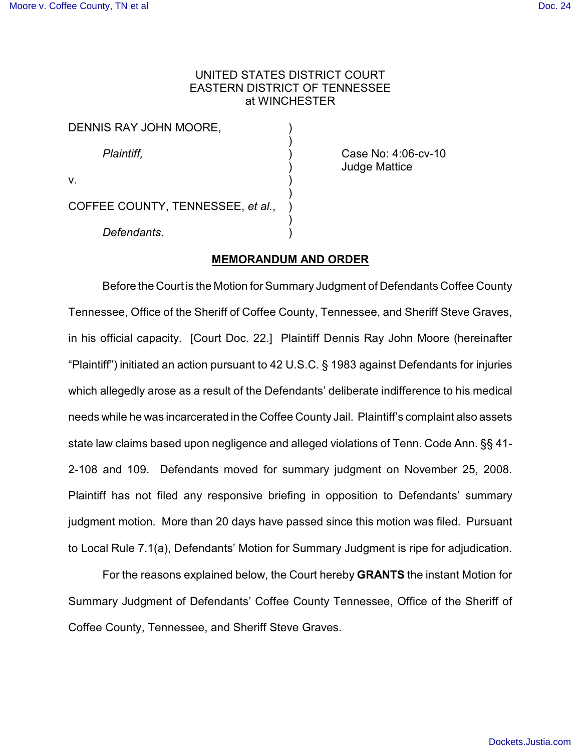# UNITED STATES DISTRICT COURT EASTERN DISTRICT OF TENNESSEE at WINCHESTER

| DENNIS RAY JOHN MOORE,            |  |
|-----------------------------------|--|
| Plaintiff,                        |  |
| V.                                |  |
| COFFEE COUNTY, TENNESSEE, et al., |  |
| Defendants.                       |  |

*Plaintiff,* ) Case No: 4:06-cv-10 ) Judge Mattice

### **MEMORANDUM AND ORDER**

Before the Court is the Motion for Summary Judgment of Defendants Coffee County Tennessee, Office of the Sheriff of Coffee County, Tennessee, and Sheriff Steve Graves, in his official capacity. [Court Doc. 22.] Plaintiff Dennis Ray John Moore (hereinafter "Plaintiff") initiated an action pursuant to 42 U.S.C. § 1983 against Defendants for injuries which allegedly arose as a result of the Defendants' deliberate indifference to his medical needs while he was incarcerated in the Coffee County Jail. Plaintiff's complaint also assets state law claims based upon negligence and alleged violations of Tenn. Code Ann. §§ 41- 2-108 and 109. Defendants moved for summary judgment on November 25, 2008. Plaintiff has not filed any responsive briefing in opposition to Defendants' summary judgment motion*.* More than 20 days have passed since this motion was filed. Pursuant to Local Rule 7.1(a), Defendants' Motion for Summary Judgment is ripe for adjudication.

For the reasons explained below, the Court hereby **GRANTS** the instant Motion for Summary Judgment of Defendants' Coffee County Tennessee, Office of the Sheriff of Coffee County, Tennessee, and Sheriff Steve Graves.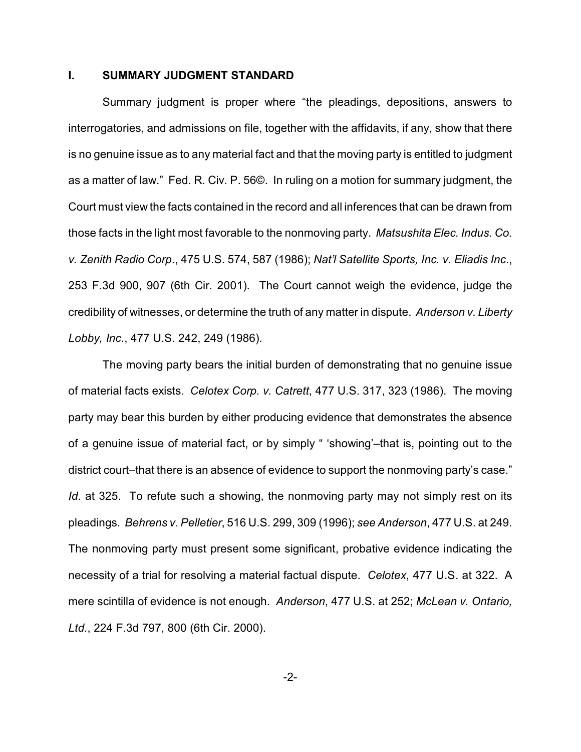### **I. SUMMARY JUDGMENT STANDARD**

Summary judgment is proper where "the pleadings, depositions, answers to interrogatories, and admissions on file, together with the affidavits, if any, show that there is no genuine issue as to any material fact and that the moving party is entitled to judgment as a matter of law." Fed. R. Civ. P. 56©. In ruling on a motion for summary judgment, the Court must view the facts contained in the record and all inferences that can be drawn from those facts in the light most favorable to the nonmoving party. *Matsushita Elec. Indus. Co. v. Zenith Radio Corp*., 475 U.S. 574, 587 (1986); *Nat'l Satellite Sports, Inc. v. Eliadis Inc*., 253 F.3d 900, 907 (6th Cir. 2001). The Court cannot weigh the evidence, judge the credibility of witnesses, or determine the truth of any matter in dispute. *Anderson v. Liberty Lobby, Inc*., 477 U.S. 242, 249 (1986).

The moving party bears the initial burden of demonstrating that no genuine issue of material facts exists. *Celotex Corp. v. Catrett*, 477 U.S. 317, 323 (1986). The moving party may bear this burden by either producing evidence that demonstrates the absence of a genuine issue of material fact, or by simply " 'showing'–that is, pointing out to the district court–that there is an absence of evidence to support the nonmoving party's case." *Id*. at 325. To refute such a showing, the nonmoving party may not simply rest on its pleadings. *Behrens v. Pelletier*, 516 U.S. 299, 309 (1996); *see Anderson*, 477 U.S. at 249. The nonmoving party must present some significant, probative evidence indicating the necessity of a trial for resolving a material factual dispute. *Celotex*, 477 U.S. at 322. A mere scintilla of evidence is not enough. *Anderson*, 477 U.S. at 252; *McLean v. Ontario, Ltd.*, 224 F.3d 797, 800 (6th Cir. 2000).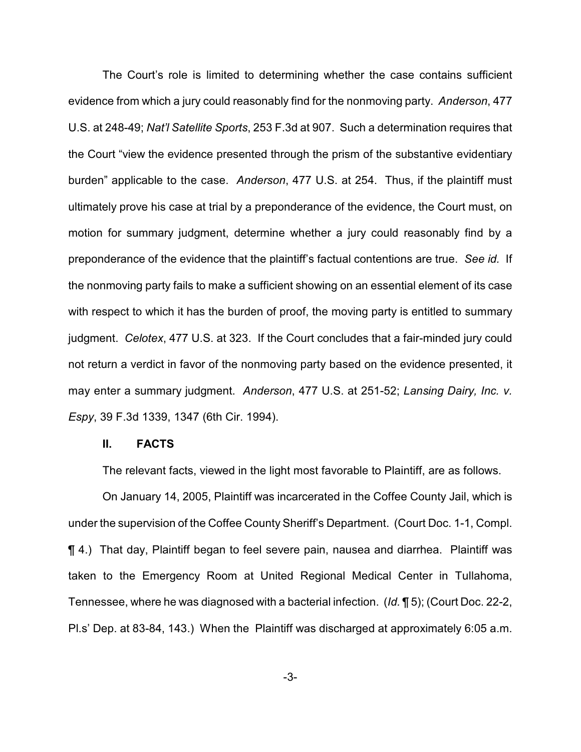The Court's role is limited to determining whether the case contains sufficient evidence from which a jury could reasonably find for the nonmoving party. *Anderson*, 477 U.S. at 248-49; *Nat'l Satellite Sports*, 253 F.3d at 907. Such a determination requires that the Court "view the evidence presented through the prism of the substantive evidentiary burden" applicable to the case. *Anderson*, 477 U.S. at 254. Thus, if the plaintiff must ultimately prove his case at trial by a preponderance of the evidence, the Court must, on motion for summary judgment, determine whether a jury could reasonably find by a preponderance of the evidence that the plaintiff's factual contentions are true. *See id.* If the nonmoving party fails to make a sufficient showing on an essential element of its case with respect to which it has the burden of proof, the moving party is entitled to summary judgment. *Celotex*, 477 U.S. at 323. If the Court concludes that a fair-minded jury could not return a verdict in favor of the nonmoving party based on the evidence presented, it may enter a summary judgment. *Anderson*, 477 U.S. at 251-52; *Lansing Dairy, Inc. v. Espy*, 39 F.3d 1339, 1347 (6th Cir. 1994).

### **II. FACTS**

The relevant facts, viewed in the light most favorable to Plaintiff, are as follows.

On January 14, 2005, Plaintiff was incarcerated in the Coffee County Jail, which is under the supervision of the Coffee County Sheriff's Department.(Court Doc. 1-1, Compl. ¶ 4.) That day, Plaintiff began to feel severe pain, nausea and diarrhea. Plaintiff was taken to the Emergency Room at United Regional Medical Center in Tullahoma, Tennessee, where he was diagnosed with a bacterial infection. (*Id.* ¶ 5); (Court Doc. 22-2, Pl.s' Dep. at 83-84, 143.) When the Plaintiff was discharged at approximately 6:05 a.m.

-3-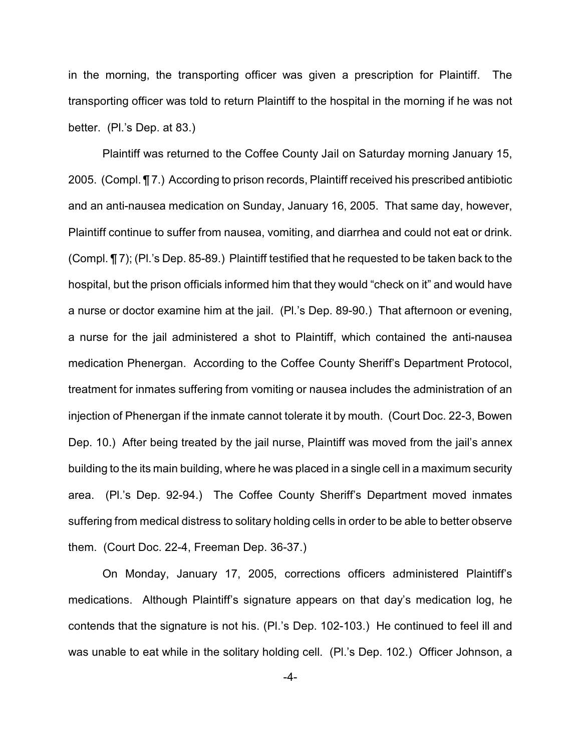in the morning, the transporting officer was given a prescription for Plaintiff. The transporting officer was told to return Plaintiff to the hospital in the morning if he was not better. (Pl.'s Dep. at 83.)

Plaintiff was returned to the Coffee County Jail on Saturday morning January 15, 2005. (Compl. ¶ 7.) According to prison records, Plaintiff received his prescribed antibiotic and an anti-nausea medication on Sunday, January 16, 2005. That same day, however, Plaintiff continue to suffer from nausea, vomiting, and diarrhea and could not eat or drink. (Compl. ¶ 7); (Pl.'s Dep. 85-89.) Plaintiff testified that he requested to be taken back to the hospital, but the prison officials informed him that they would "check on it" and would have a nurse or doctor examine him at the jail. (Pl.'s Dep. 89-90.) That afternoon or evening, a nurse for the jail administered a shot to Plaintiff, which contained the anti-nausea medication Phenergan. According to the Coffee County Sheriff's Department Protocol, treatment for inmates suffering from vomiting or nausea includes the administration of an injection of Phenergan if the inmate cannot tolerate it by mouth. (Court Doc. 22-3, Bowen Dep. 10.)After being treated by the jail nurse, Plaintiff was moved from the jail's annex building to the its main building, where he was placed in a single cell in a maximum security area. (Pl.'s Dep. 92-94.) The Coffee County Sheriff's Department moved inmates suffering from medical distress to solitary holding cells in order to be able to better observe them. (Court Doc. 22-4, Freeman Dep. 36-37.)

On Monday, January 17, 2005, corrections officers administered Plaintiff's medications. Although Plaintiff's signature appears on that day's medication log, he contends that the signature is not his. (Pl.'s Dep. 102-103.) He continued to feel ill and was unable to eat while in the solitary holding cell. (Pl.'s Dep. 102.) Officer Johnson, a

-4-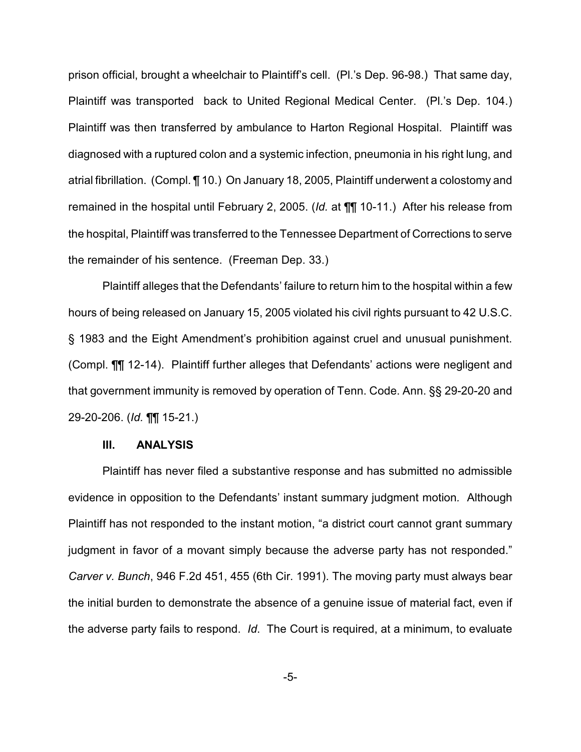prison official, brought a wheelchair to Plaintiff's cell. (Pl.'s Dep. 96-98.) That same day, Plaintiff was transported back to United Regional Medical Center. (Pl.'s Dep. 104.) Plaintiff was then transferred by ambulance to Harton Regional Hospital.Plaintiff was diagnosed with a ruptured colon and a systemic infection, pneumonia in his right lung, and atrial fibrillation. (Compl. ¶ 10.) On January 18, 2005, Plaintiff underwent a colostomy and remained in the hospital until February 2, 2005. (*Id.* at ¶¶ 10-11.) After his release from the hospital, Plaintiff was transferred to the Tennessee Department of Corrections to serve the remainder of his sentence. (Freeman Dep. 33.)

Plaintiff alleges that the Defendants' failure to return him to the hospital within a few hours of being released on January 15, 2005 violated his civil rights pursuant to 42 U.S.C. § 1983 and the Eight Amendment's prohibition against cruel and unusual punishment. (Compl. ¶¶ 12-14). Plaintiff further alleges that Defendants' actions were negligent and that government immunity is removed by operation of Tenn. Code. Ann. §§ 29-20-20 and 29-20-206. (*Id.* ¶¶ 15-21.)

### **III. ANALYSIS**

Plaintiff has never filed a substantive response and has submitted no admissible evidence in opposition to the Defendants' instant summary judgment motion*.* Although Plaintiff has not responded to the instant motion, "a district court cannot grant summary judgment in favor of a movant simply because the adverse party has not responded." *Carver v. Bunch*, 946 F.2d 451, 455 (6th Cir. 1991). The moving party must always bear the initial burden to demonstrate the absence of a genuine issue of material fact, even if the adverse party fails to respond. *Id*. The Court is required, at a minimum, to evaluate

-5-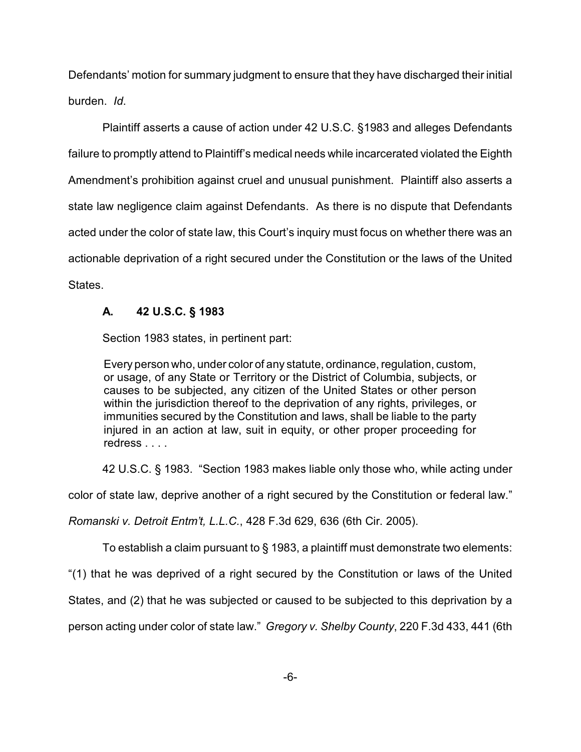Defendants' motion for summary judgment to ensure that they have discharged their initial burden. *Id*.

Plaintiff asserts a cause of action under 42 U.S.C. §1983 and alleges Defendants failure to promptly attend to Plaintiff's medical needs while incarcerated violated the Eighth Amendment's prohibition against cruel and unusual punishment. Plaintiff also asserts a state law negligence claim against Defendants. As there is no dispute that Defendants acted under the color of state law, this Court's inquiry must focus on whether there was an actionable deprivation of a right secured under the Constitution or the laws of the United States.

# **A. 42 U.S.C. § 1983**

Section 1983 states, in pertinent part:

Every person who, under color of any statute, ordinance, regulation, custom, or usage, of any State or Territory or the District of Columbia, subjects, or causes to be subjected, any citizen of the United States or other person within the jurisdiction thereof to the deprivation of any rights, privileges, or immunities secured by the Constitution and laws, shall be liable to the party injured in an action at law, suit in equity, or other proper proceeding for redress . . . .

42 U.S.C. § 1983. "Section 1983 makes liable only those who, while acting under

color of state law, deprive another of a right secured by the Constitution or federal law."

*Romanski v. Detroit Entm't, L.L.C.*, 428 F.3d 629, 636 (6th Cir. 2005).

To establish a claim pursuant to § 1983, a plaintiff must demonstrate two elements:

"(1) that he was deprived of a right secured by the Constitution or laws of the United

States, and (2) that he was subjected or caused to be subjected to this deprivation by a

person acting under color of state law." *Gregory v. Shelby County*, 220 F.3d 433, 441 (6th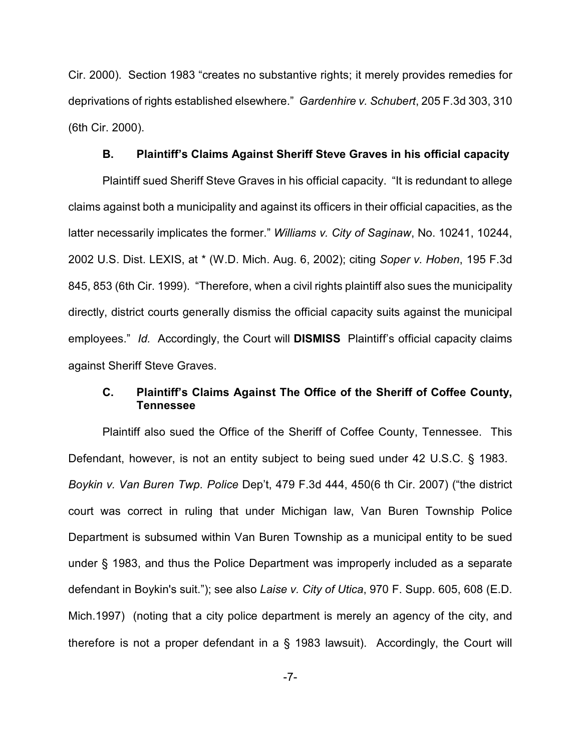Cir. 2000). Section 1983 "creates no substantive rights; it merely provides remedies for deprivations of rights established elsewhere." *Gardenhire v. Schubert*, 205 F.3d 303, 310 (6th Cir. 2000).

#### **B. Plaintiff's Claims Against Sheriff Steve Graves in his official capacity**

Plaintiff sued Sheriff Steve Graves in his official capacity. "It is redundant to allege claims against both a municipality and against its officers in their official capacities, as the latter necessarily implicates the former." *Williams v. City of Saginaw*, No. 10241, 10244, 2002 U.S. Dist. LEXIS, at \* (W.D. Mich. Aug. 6, 2002); citing *Soper v. Hoben*, 195 F.3d 845, 853 (6th Cir. 1999). "Therefore, when a civil rights plaintiff also sues the municipality directly, district courts generally dismiss the official capacity suits against the municipal employees." *Id.* Accordingly, the Court will **DISMISS** Plaintiff's official capacity claims against Sheriff Steve Graves.

# **C. Plaintiff's Claims Against The Office of the Sheriff of Coffee County, Tennessee**

Plaintiff also sued the Office of the Sheriff of Coffee County, Tennessee. This Defendant, however, is not an entity subject to being sued under 42 U.S.C. § 1983. *Boykin v. Van Buren Twp. Police* Dep't, 479 F.3d 444, 450(6 th Cir. 2007) ("the district court was correct in ruling that under Michigan law, Van Buren Township Police Department is subsumed within Van Buren Township as a municipal entity to be sued under § 1983, and thus the Police Department was improperly included as a separate defendant in Boykin's suit."); see also *Laise v. City of Utica*, 970 F. Supp. 605, 608 (E.D. Mich.1997) (noting that a city police department is merely an agency of the city, and therefore is not a proper defendant in a § 1983 lawsuit). Accordingly, the Court will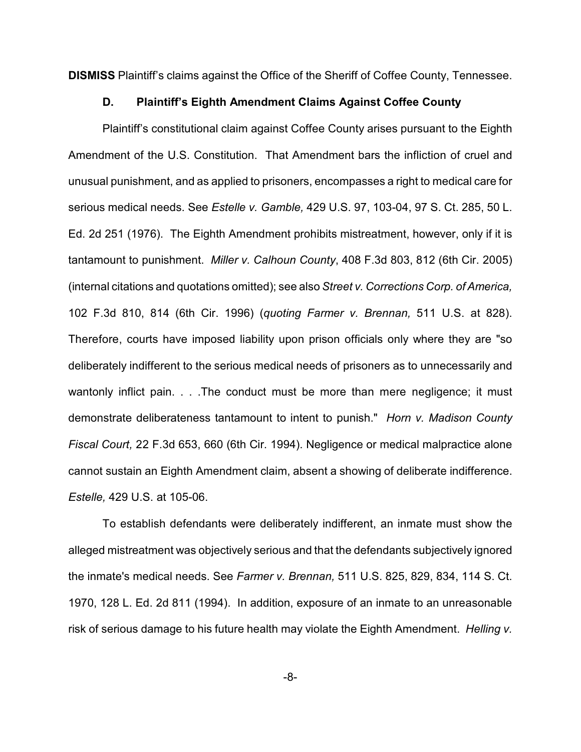**DISMISS** Plaintiff's claims against the Office of the Sheriff of Coffee County, Tennessee.

## **D. Plaintiff's Eighth Amendment Claims Against Coffee County**

Plaintiff's constitutional claim against Coffee County arises pursuant to the Eighth Amendment of the U.S. Constitution. That Amendment bars the infliction of cruel and unusual punishment, and as applied to prisoners, encompasses a right to medical care for serious medical needs. See *Estelle v. Gamble,* 429 U.S. 97, 103-04, 97 S. Ct. 285, 50 L. Ed. 2d 251 (1976). The Eighth Amendment prohibits mistreatment, however, only if it is tantamount to punishment. *Miller v. Calhoun County*, 408 F.3d 803, 812 (6th Cir. 2005) (internal citations and quotations omitted); see also *Street v. Corrections Corp. of America,* 102 F.3d 810, 814 (6th Cir. 1996) (*quoting Farmer v. Brennan,* 511 U.S. at 828). Therefore, courts have imposed liability upon prison officials only where they are "so deliberately indifferent to the serious medical needs of prisoners as to unnecessarily and wantonly inflict pain. . . . The conduct must be more than mere negligence; it must demonstrate deliberateness tantamount to intent to punish." *Horn v. Madison County Fiscal Court,* 22 F.3d 653, 660 (6th Cir. 1994). Negligence or medical malpractice alone cannot sustain an Eighth Amendment claim, absent a showing of deliberate indifference. *Estelle,* 429 U.S. at 105-06.

To establish defendants were deliberately indifferent, an inmate must show the alleged mistreatment was objectively serious and that the defendants subjectively ignored the inmate's medical needs. See *Farmer v. Brennan,* 511 U.S. 825, 829, 834, 114 S. Ct. 1970, 128 L. Ed. 2d 811 (1994). In addition, exposure of an inmate to an unreasonable risk of serious damage to his future health may violate the Eighth Amendment. *Helling v.*

-8-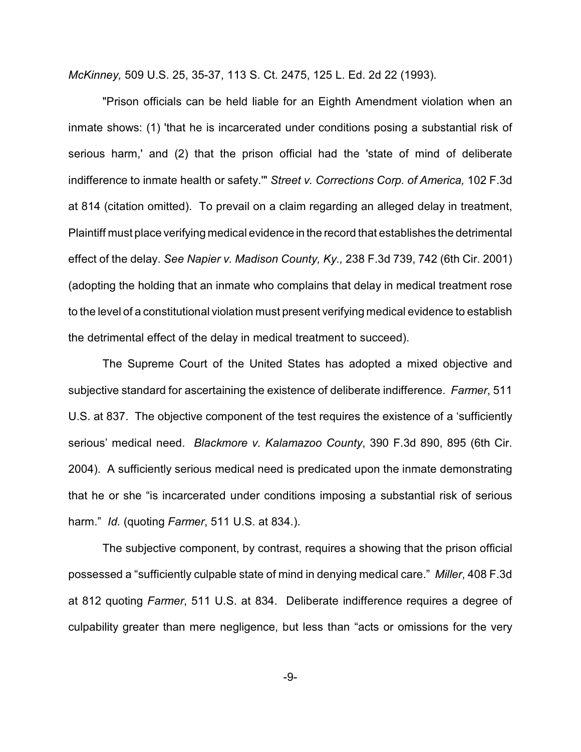*McKinney,* 509 U.S. 25, 35-37, 113 S. Ct. 2475, 125 L. Ed. 2d 22 (1993).

"Prison officials can be held liable for an Eighth Amendment violation when an inmate shows: (1) 'that he is incarcerated under conditions posing a substantial risk of serious harm,' and (2) that the prison official had the 'state of mind of deliberate indifference to inmate health or safety.'" *Street v. Corrections Corp. of America,* 102 F.3d at 814 (citation omitted). To prevail on a claim regarding an alleged delay in treatment, Plaintiff must place verifying medical evidence in the record that establishes the detrimental effect of the delay. *See Napier v. Madison County, Ky.,* 238 F.3d 739, 742 (6th Cir. 2001) (adopting the holding that an inmate who complains that delay in medical treatment rose to the level of a constitutional violation must present verifying medical evidence to establish the detrimental effect of the delay in medical treatment to succeed).

The Supreme Court of the United States has adopted a mixed objective and subjective standard for ascertaining the existence of deliberate indifference. *Farmer*, 511 U.S. at 837. The objective component of the test requires the existence of a 'sufficiently serious' medical need. *Blackmore v. Kalamazoo County*, 390 F.3d 890, 895 (6th Cir. 2004). A sufficiently serious medical need is predicated upon the inmate demonstrating that he or she "is incarcerated under conditions imposing a substantial risk of serious harm." *Id.* (quoting *Farmer*, 511 U.S. at 834.).

The subjective component, by contrast, requires a showing that the prison official possessed a "sufficiently culpable state of mind in denying medical care." *Miller*, 408 F.3d at 812 quoting *Farmer*, 511 U.S. at 834. Deliberate indifference requires a degree of culpability greater than mere negligence, but less than "acts or omissions for the very

-9-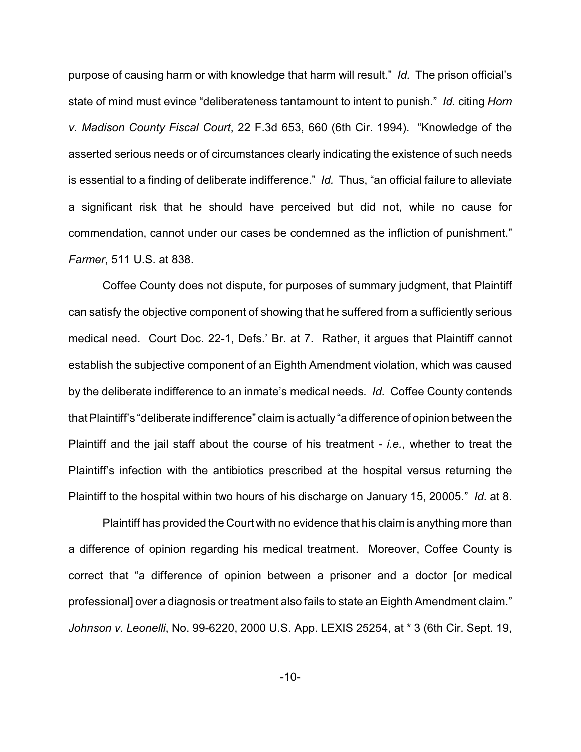purpose of causing harm or with knowledge that harm will result." *Id.* The prison official's state of mind must evince "deliberateness tantamount to intent to punish." *Id.* citing *Horn v. Madison County Fiscal Court*, 22 F.3d 653, 660 (6th Cir. 1994). "Knowledge of the asserted serious needs or of circumstances clearly indicating the existence of such needs is essential to a finding of deliberate indifference." *Id.* Thus, "an official failure to alleviate a significant risk that he should have perceived but did not, while no cause for commendation, cannot under our cases be condemned as the infliction of punishment." *Farmer*, 511 U.S. at 838.

Coffee County does not dispute, for purposes of summary judgment, that Plaintiff can satisfy the objective component of showing that he suffered from a sufficiently serious medical need.Court Doc. 22-1, Defs.' Br. at 7. Rather, it argues that Plaintiff cannot establish the subjective component of an Eighth Amendment violation, which was caused by the deliberate indifference to an inmate's medical needs. *Id.* Coffee County contends that Plaintiff's "deliberate indifference" claim is actually "a difference of opinion between the Plaintiff and the jail staff about the course of his treatment - *i.e.*, whether to treat the Plaintiff's infection with the antibiotics prescribed at the hospital versus returning the Plaintiff to the hospital within two hours of his discharge on January 15, 20005." *Id.* at 8.

Plaintiff has provided the Court with no evidence that his claim is anything more than a difference of opinion regarding his medical treatment. Moreover, Coffee County is correct that "a difference of opinion between a prisoner and a doctor [or medical professional] over a diagnosis or treatment also fails to state an Eighth Amendment claim." *Johnson v. Leonelli*, No. 99-6220, 2000 U.S. App. LEXIS 25254, at \* 3 (6th Cir. Sept. 19,

-10-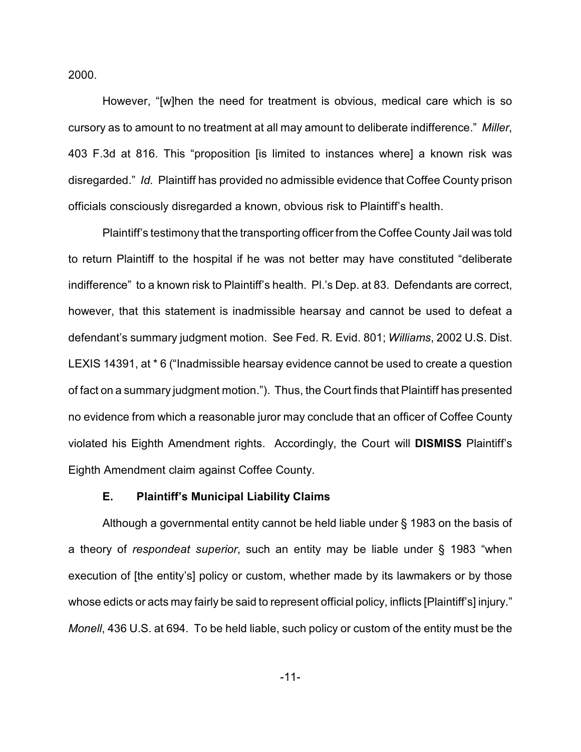2000.

However, "[w]hen the need for treatment is obvious, medical care which is so cursory as to amount to no treatment at all may amount to deliberate indifference." *Miller*, 403 F.3d at 816. This "proposition [is limited to instances where] a known risk was disregarded." *Id.* Plaintiff has provided no admissible evidence that Coffee County prison officials consciously disregarded a known, obvious risk to Plaintiff's health.

Plaintiff's testimony that the transporting officer from the Coffee County Jail was told to return Plaintiff to the hospital if he was not better may have constituted "deliberate indifference" to a known risk to Plaintiff's health. Pl.'s Dep. at 83. Defendants are correct, however, that this statement is inadmissible hearsay and cannot be used to defeat a defendant's summary judgment motion. See Fed. R. Evid. 801; *Williams*, 2002 U.S. Dist. LEXIS 14391, at \* 6 ("Inadmissible hearsay evidence cannot be used to create a question of fact on a summary judgment motion.").Thus, the Court finds that Plaintiff has presented no evidence from which a reasonable juror may conclude that an officer of Coffee County violated his Eighth Amendment rights. Accordingly, the Court will **DISMISS** Plaintiff's Eighth Amendment claim against Coffee County.

# **E. Plaintiff's Municipal Liability Claims**

Although a governmental entity cannot be held liable under § 1983 on the basis of a theory of *respondeat superior*, such an entity may be liable under § 1983 "when execution of [the entity's] policy or custom, whether made by its lawmakers or by those whose edicts or acts may fairly be said to represent official policy, inflicts [Plaintiff's] injury." *Monell*, 436 U.S. at 694. To be held liable, such policy or custom of the entity must be the

-11-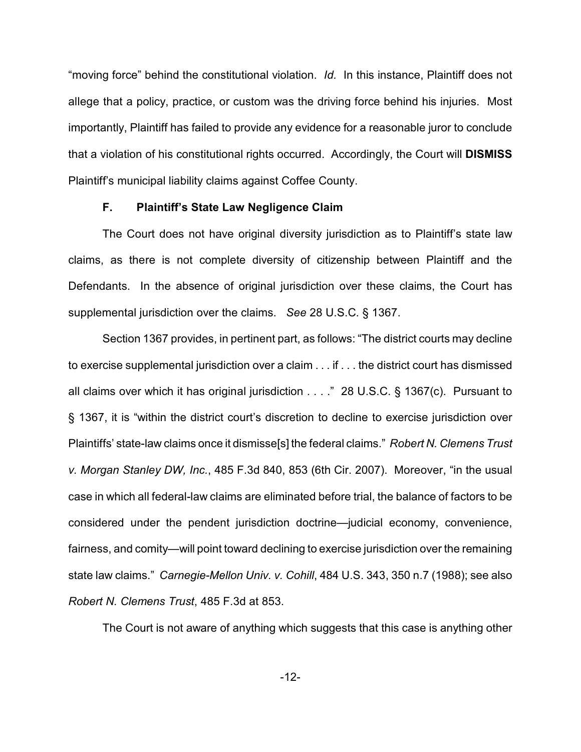"moving force" behind the constitutional violation. *Id.* In this instance, Plaintiff does not allege that a policy, practice, or custom was the driving force behind his injuries. Most importantly, Plaintiff has failed to provide any evidence for a reasonable juror to conclude that a violation of his constitutional rights occurred.Accordingly, the Court will **DISMISS** Plaintiff's municipal liability claims against Coffee County.

# **F. Plaintiff's State Law Negligence Claim**

The Court does not have original diversity jurisdiction as to Plaintiff's state law claims, as there is not complete diversity of citizenship between Plaintiff and the Defendants. In the absence of original jurisdiction over these claims, the Court has supplemental jurisdiction over the claims. *See* 28 U.S.C. § 1367.

Section 1367 provides, in pertinent part, as follows: "The district courts may decline to exercise supplemental jurisdiction over a claim . . . if . . . the district court has dismissed all claims over which it has original jurisdiction . . . ." 28 U.S.C. § 1367(c). Pursuant to § 1367, it is "within the district court's discretion to decline to exercise jurisdiction over Plaintiffs' state-law claims once it dismisse[s] the federal claims." *Robert N. Clemens Trust v. Morgan Stanley DW, Inc.*, 485 F.3d 840, 853 (6th Cir. 2007). Moreover, "in the usual case in which all federal-law claims are eliminated before trial, the balance of factors to be considered under the pendent jurisdiction doctrine—judicial economy, convenience, fairness, and comity—will point toward declining to exercise jurisdiction over the remaining state law claims." *Carnegie-Mellon Univ. v. Cohill*, 484 U.S. 343, 350 n.7 (1988); see also *Robert N. Clemens Trust*, 485 F.3d at 853.

The Court is not aware of anything which suggests that this case is anything other

-12-